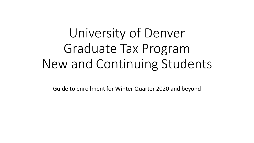# University of Denver Graduate Tax Program New and Continuing Students

Guide to enrollment for Winter Quarter 2020 and beyond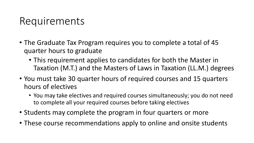# Requirements

- The Graduate Tax Program requires you to complete a total of 45 quarter hours to graduate
	- This requirement applies to candidates for both the Master in Taxation (M.T.) and the Masters of Laws in Taxation (LL.M.) degrees
- You must take 30 quarter hours of required courses and 15 quarters hours of electives
	- You may take electives and required courses simultaneously; you do not need to complete all your required courses before taking electives
- Students may complete the program in four quarters or more
- These course recommendations apply to online and onsite students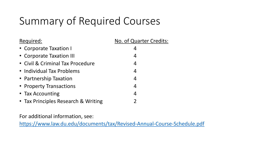# Summary of Required Courses

| Required: |  |
|-----------|--|
|           |  |

#### No. of Quarter Credits:

| • Corporate Taxation I                                                                                                                                                                                                                                                                                              | 4              |
|---------------------------------------------------------------------------------------------------------------------------------------------------------------------------------------------------------------------------------------------------------------------------------------------------------------------|----------------|
| • Corporate Taxation III                                                                                                                                                                                                                                                                                            | $\overline{4}$ |
| • Civil & Criminal Tax Procedure                                                                                                                                                                                                                                                                                    | $\overline{4}$ |
| • Individual Tax Problems                                                                                                                                                                                                                                                                                           | $\overline{4}$ |
| • Partnership Taxation                                                                                                                                                                                                                                                                                              | $\overline{4}$ |
| • Property Transactions                                                                                                                                                                                                                                                                                             | $\overline{4}$ |
| • Tax Accounting                                                                                                                                                                                                                                                                                                    | $\overline{4}$ |
| $\tau$ $\sim$ $\tau$ $\sim$ $\tau$ $\sim$ $\tau$ $\sim$ $\tau$ $\sim$ $\tau$ $\sim$ $\tau$ $\sim$ $\tau$ $\sim$ $\tau$ $\sim$ $\tau$ $\sim$ $\tau$ $\sim$ $\tau$ $\sim$ $\tau$ $\sim$ $\tau$ $\sim$ $\tau$ $\sim$ $\tau$ $\sim$ $\tau$ $\sim$ $\tau$ $\sim$ $\tau$ $\sim$ $\tau$ $\sim$ $\tau$ $\sim$ $\tau$ $\sim$ |                |

• Tax Principles Research & Writing  $\sim$  2.

For additional information, see:

<https://www.law.du.edu/documents/tax/Revised-Annual-Course-Schedule.pdf>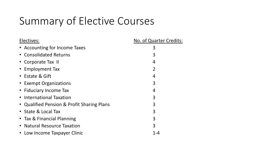# Summary of Elective Courses

| Electives:                                 | No. of Quarter Credits: |
|--------------------------------------------|-------------------------|
| • Accounting for Income Taxes              | 3                       |
| • Consolidated Returns                     | 3                       |
| • Corporate Tax II                         | 4                       |
| • Employment Tax                           |                         |
| • Estate & Gift                            | 4                       |
| • Exempt Organizations                     | 3                       |
| • Fiduciary Income Tax                     | 4                       |
| • International Taxation                   | 3                       |
| • Qualified Pension & Profit Sharing Plans | 3                       |
| • State & Local Tax                        | 3                       |
| • Tax & Financial Planning                 | 3                       |
| • Natural Resource Taxation                | 3                       |
| • Low Income Taxpayer Clinic               | 1-4                     |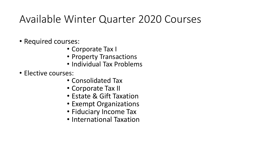# Available Winter Quarter 2020 Courses

- Required courses:
	- Corporate Tax I
	- Property Transactions
	- Individual Tax Problems
- Elective courses:
	- Consolidated Tax
	- Corporate Tax II
	- Estate & Gift Taxation
	- Exempt Organizations
	- Fiduciary Income Tax
	- International Taxation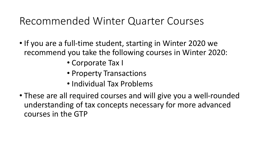# Recommended Winter Quarter Courses

- If you are a full-time student, starting in Winter 2020 we recommend you take the following courses in Winter 2020:
	- Corporate Tax I
	- Property Transactions
	- Individual Tax Problems
- These are all required courses and will give you a well-rounded understanding of tax concepts necessary for more advanced courses in the GTP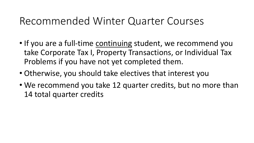#### Recommended Winter Quarter Courses

- If you are a full-time continuing student, we recommend you take Corporate Tax I, Property Transactions, or Individual Tax Problems if you have not yet completed them.
- Otherwise, you should take electives that interest you
- We recommend you take 12 quarter credits, but no more than 14 total quarter credits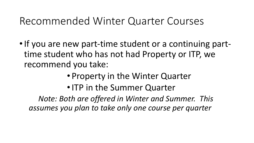#### Recommended Winter Quarter Courses

- If you are new part-time student or a continuing parttime student who has not had Property or ITP, we recommend you take:
	- Property in the Winter Quarter
	- •ITP in the Summer Quarter

*Note: Both are offered in Winter and Summer. This assumes you plan to take only one course per quarter*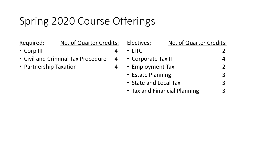# Spring 2020 Course Offerings

| Required:                                            | No. of Quarter Credits: |                    | Electives:                   |                | No. of Quarter Credits: |  |
|------------------------------------------------------|-------------------------|--------------------|------------------------------|----------------|-------------------------|--|
| • Corp III                                           |                         |                    | $\cdot$ LITC                 |                |                         |  |
| • Civil and Criminal Tax Procedure<br>$\overline{4}$ |                         | • Corporate Tax II |                              | $\overline{4}$ |                         |  |
| • Partnership Taxation                               |                         |                    | • Employment Tax             |                | $\overline{2}$          |  |
|                                                      |                         |                    | • Estate Planning            |                | 3                       |  |
|                                                      |                         |                    | • State and Local Tax        |                | $\overline{3}$          |  |
|                                                      |                         |                    | • Tax and Financial Planning |                | 3                       |  |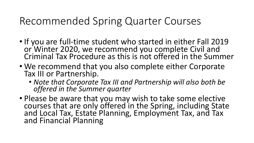# Recommended Spring Quarter Courses

- If you are full-time student who started in either Fall 2019 or Winter 2020, we recommend you complete Civil and Criminal Tax Procedure as this is not offered in the Summer
- We recommend that you also complete either Corporate Tax III or Partnership.
	- *Note that Corporate Tax III and Partnership will also both be offered in the Summer quarter*
- Please be aware that you may wish to take some elective courses that are only offered in the Spring, including State and Local Tax, Estate Planning, Employment Tax, and Tax and Financial Planning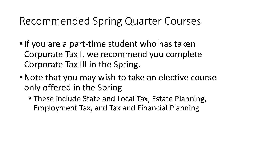# Recommended Spring Quarter Courses

- If you are a part-time student who has taken Corporate Tax I, we recommend you complete Corporate Tax III in the Spring.
- Note that you may wish to take an elective course only offered in the Spring
	- These include State and Local Tax, Estate Planning, Employment Tax, and Tax and Financial Planning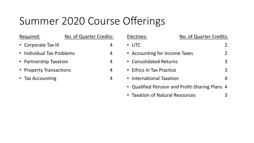# Summer 2020 Course Offerings

| Required:                      | No. of Quarter Credits: |                | Electives:                    | No. of Quarter Credits:                        |                |
|--------------------------------|-------------------------|----------------|-------------------------------|------------------------------------------------|----------------|
| • Corporate Tax III            |                         | $\overline{4}$ | $\cdot$ LITC                  |                                                |                |
| • Individual Tax Problems<br>4 |                         |                | • Accounting for Income Taxes |                                                | 2 <sup>1</sup> |
| • Partnership Taxation         |                         | $\overline{4}$ | • Consolidated Returns        |                                                | 3              |
| • Property Transactions<br>4   |                         |                | • Ethics in Tax Practice      |                                                | 3              |
| • Tax Accounting               |                         | 4              | • International Taxation      |                                                | 4              |
|                                |                         |                |                               | • Qualified Pension and Profit-Sharing Plans 4 |                |

• Taxation of Natural Resources 3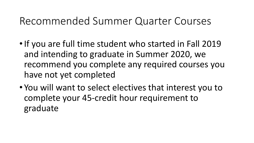#### Recommended Summer Quarter Courses

- If you are full time student who started in Fall 2019 and intending to graduate in Summer 2020, we recommend you complete any required courses you have not yet completed
- You will want to select electives that interest you to complete your 45-credit hour requirement to graduate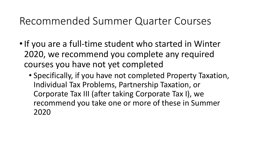#### Recommended Summer Quarter Courses

- •If you are a full-time student who started in Winter 2020, we recommend you complete any required courses you have not yet completed
	- Specifically, if you have not completed Property Taxation, Individual Tax Problems, Partnership Taxation, or Corporate Tax III (after taking Corporate Tax I), we recommend you take one or more of these in Summer 2020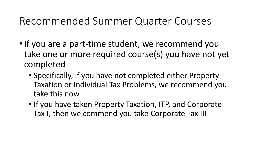#### Recommended Summer Quarter Courses

- If you are a part-time student, we recommend you take one or more required course(s) you have not yet completed
	- Specifically, if you have not completed either Property Taxation or Individual Tax Problems, we recommend you take this now.
	- If you have taken Property Taxation, ITP, and Corporate Tax I, then we commend you take Corporate Tax III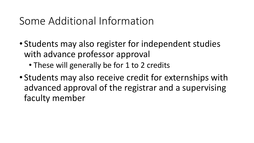# Some Additional Information

- Students may also register for independent studies with advance professor approval
	- These will generally be for 1 to 2 credits
- Students may also receive credit for externships with advanced approval of the registrar and a supervising faculty member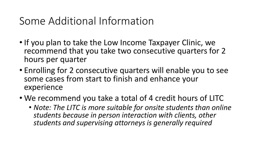# Some Additional Information

- If you plan to take the Low Income Taxpayer Clinic, we recommend that you take two consecutive quarters for 2 hours per quarter
- Enrolling for 2 consecutive quarters will enable you to see some cases from start to finish and enhance your experience
- We recommend you take a total of 4 credit hours of LITC
	- *Note: The LITC is more suitable for onsite students than online students because in person interaction with clients, other students and supervising attorneys is generally required*